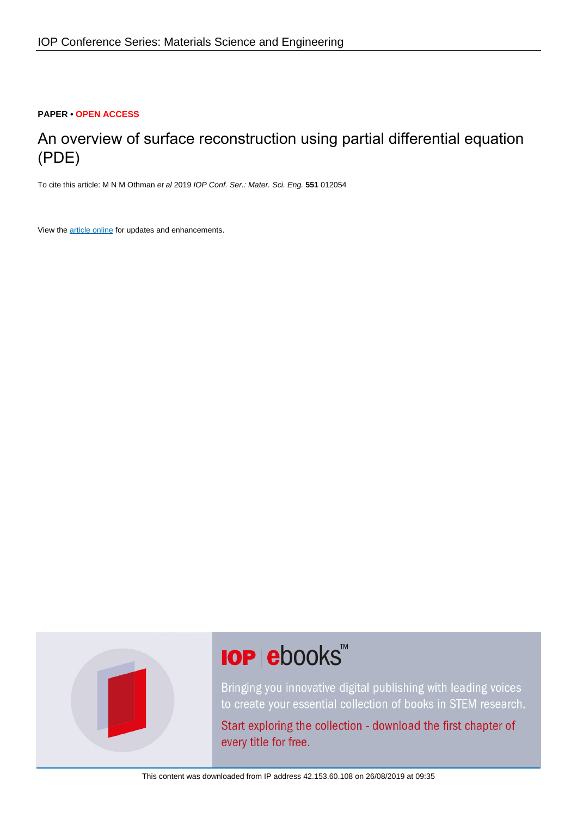# **PAPER • OPEN ACCESS**

# An overview of surface reconstruction using partial differential equation (PDE)

To cite this article: M N M Othman et al 2019 IOP Conf. Ser.: Mater. Sci. Eng. **551** 012054

View the [article online](https://doi.org/10.1088/1757-899X/551/1/012054) for updates and enhancements.



# **IOP ebooks**™

Bringing you innovative digital publishing with leading voices to create your essential collection of books in STEM research.

Start exploring the collection - download the first chapter of every title for free.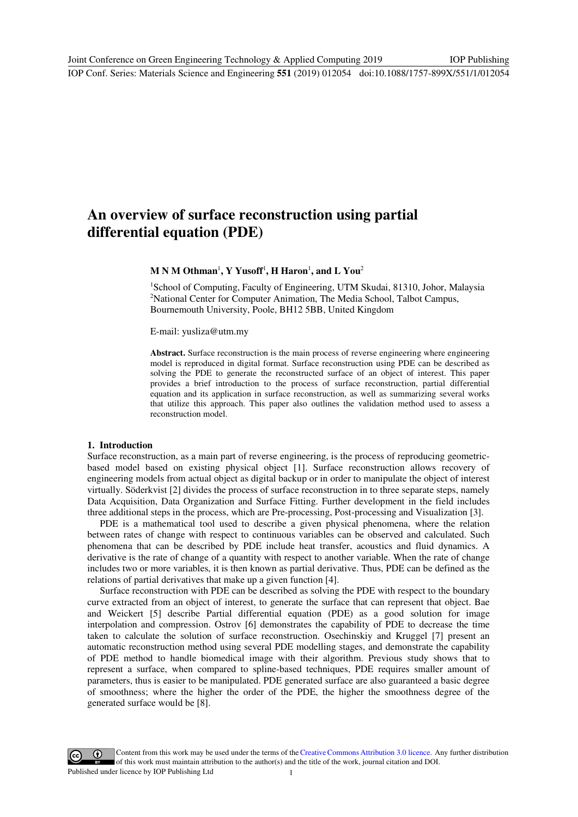# **An overview of surface reconstruction using partial differential equation (PDE)**

### $\mathbf{M}$   $\mathbf{N}$   $\mathbf{M}$   $\mathbf{Othman}^{1}$ ,  $\mathbf{Y}$   $\mathbf{Yusoff}^{1}$ ,  $\mathbf{H}$   $\mathbf{Haron}^{1}$ , and  $\mathbf{L}$   $\mathbf{You}^{2}$

<sup>1</sup>School of Computing, Faculty of Engineering, UTM Skudai, 81310, Johor, Malaysia <sup>2</sup>National Center for Computer Animation, The Media School, Talbot Campus, Bournemouth University, Poole, BH12 5BB, United Kingdom

E-mail: yusliza@utm.my

**Abstract.** Surface reconstruction is the main process of reverse engineering where engineering model is reproduced in digital format. Surface reconstruction using PDE can be described as solving the PDE to generate the reconstructed surface of an object of interest. This paper provides a brief introduction to the process of surface reconstruction, partial differential equation and its application in surface reconstruction, as well as summarizing several works that utilize this approach. This paper also outlines the validation method used to assess a reconstruction model.

#### **1. Introduction**

Surface reconstruction, as a main part of reverse engineering, is the process of reproducing geometricbased model based on existing physical object [1]. Surface reconstruction allows recovery of engineering models from actual object as digital backup or in order to manipulate the object of interest virtually. Söderkvist [2] divides the process of surface reconstruction in to three separate steps, namely Data Acquisition, Data Organization and Surface Fitting. Further development in the field includes three additional steps in the process, which are Pre-processing, Post-processing and Visualization [3].

PDE is a mathematical tool used to describe a given physical phenomena, where the relation between rates of change with respect to continuous variables can be observed and calculated. Such phenomena that can be described by PDE include heat transfer, acoustics and fluid dynamics. A derivative is the rate of change of a quantity with respect to another variable. When the rate of change includes two or more variables, it is then known as partial derivative. Thus, PDE can be defined as the relations of partial derivatives that make up a given function [4].

Surface reconstruction with PDE can be described as solving the PDE with respect to the boundary curve extracted from an object of interest, to generate the surface that can represent that object. Bae and Weickert [5] describe Partial differential equation (PDE) as a good solution for image interpolation and compression. Ostrov [6] demonstrates the capability of PDE to decrease the time taken to calculate the solution of surface reconstruction. Osechinskiy and Kruggel [7] present an automatic reconstruction method using several PDE modelling stages, and demonstrate the capability of PDE method to handle biomedical image with their algorithm. Previous study shows that to represent a surface, when compared to spline-based techniques, PDE requires smaller amount of parameters, thus is easier to be manipulated. PDE generated surface are also guaranteed a basic degree of smoothness; where the higher the order of the PDE, the higher the smoothness degree of the generated surface would be [8].

Content from this work may be used under the terms of theCreative Commons Attribution 3.0 licence. Any further distribution of this work must maintain attribution to the author(s) and the title of the work, journal citation and DOI. Published under licence by IOP Publishing Ltd 1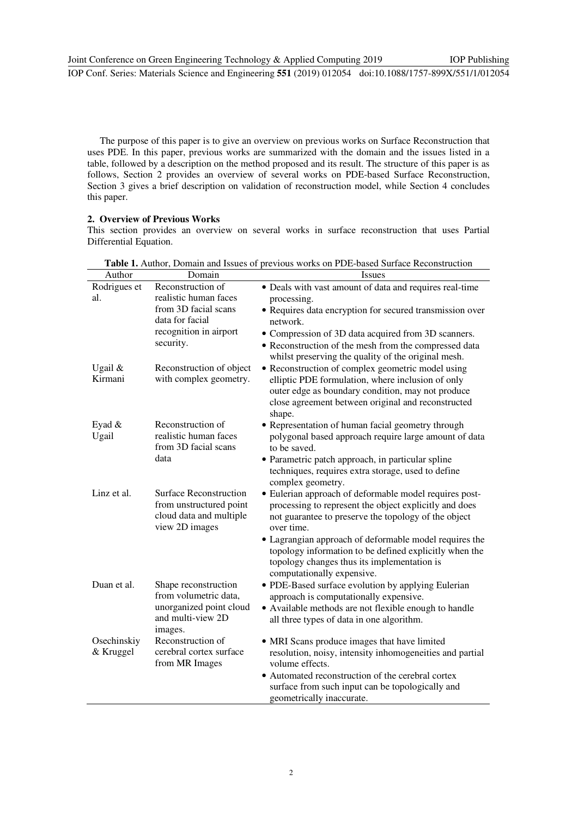The purpose of this paper is to give an overview on previous works on Surface Reconstruction that uses PDE. In this paper, previous works are summarized with the domain and the issues listed in a table, followed by a description on the method proposed and its result. The structure of this paper is as follows, Section 2 provides an overview of several works on PDE-based Surface Reconstruction, Section 3 gives a brief description on validation of reconstruction model, while Section 4 concludes this paper.

# **2. Overview of Previous Works**

This section provides an overview on several works in surface reconstruction that uses Partial Differential Equation.

| Author       | Domain                                        | <b>Issues</b>                                                                                                    |
|--------------|-----------------------------------------------|------------------------------------------------------------------------------------------------------------------|
| Rodrigues et | Reconstruction of                             | • Deals with vast amount of data and requires real-time                                                          |
| al.          | realistic human faces                         | processing.                                                                                                      |
|              | from 3D facial scans                          | • Requires data encryption for secured transmission over                                                         |
|              | data for facial                               | network.                                                                                                         |
|              | recognition in airport<br>security.           | • Compression of 3D data acquired from 3D scanners.                                                              |
|              |                                               | • Reconstruction of the mesh from the compressed data                                                            |
| Ugail $\&$   | Reconstruction of object                      | whilst preserving the quality of the original mesh.                                                              |
| Kirmani      | with complex geometry.                        | • Reconstruction of complex geometric model using<br>elliptic PDE formulation, where inclusion of only           |
|              |                                               | outer edge as boundary condition, may not produce                                                                |
|              |                                               | close agreement between original and reconstructed                                                               |
|              |                                               | shape.                                                                                                           |
| Eyad $\&$    | Reconstruction of                             | • Representation of human facial geometry through                                                                |
| Ugail        | realistic human faces                         | polygonal based approach require large amount of data                                                            |
|              | from 3D facial scans                          | to be saved.                                                                                                     |
|              | data                                          | • Parametric patch approach, in particular spline                                                                |
|              |                                               | techniques, requires extra storage, used to define                                                               |
| Linz et al.  | <b>Surface Reconstruction</b>                 | complex geometry.                                                                                                |
|              | from unstructured point                       | • Eulerian approach of deformable model requires post-<br>processing to represent the object explicitly and does |
|              | cloud data and multiple                       | not guarantee to preserve the topology of the object                                                             |
|              | view 2D images                                | over time.                                                                                                       |
|              |                                               | • Lagrangian approach of deformable model requires the                                                           |
|              |                                               | topology information to be defined explicitly when the                                                           |
|              |                                               | topology changes thus its implementation is                                                                      |
|              |                                               | computationally expensive.                                                                                       |
| Duan et al.  | Shape reconstruction<br>from volumetric data, | · PDE-Based surface evolution by applying Eulerian<br>approach is computationally expensive.                     |
|              | unorganized point cloud                       | • Available methods are not flexible enough to handle                                                            |
|              | and multi-view 2D                             | all three types of data in one algorithm.                                                                        |
|              | images.                                       |                                                                                                                  |
| Osechinskiy  | Reconstruction of                             | • MRI Scans produce images that have limited                                                                     |
| & Kruggel    | cerebral cortex surface                       | resolution, noisy, intensity inhomogeneities and partial                                                         |
|              | from MR Images                                | volume effects.                                                                                                  |
|              |                                               | • Automated reconstruction of the cerebral cortex                                                                |
|              |                                               | surface from such input can be topologically and                                                                 |
|              |                                               | geometrically inaccurate.                                                                                        |

**Table 1.** Author, Domain and Issues of previous works on PDE-based Surface Reconstruction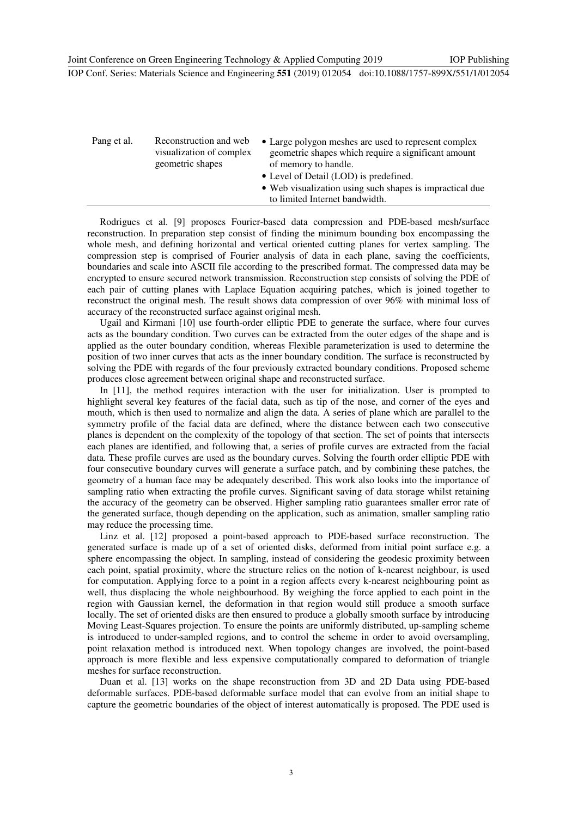|  |  |  | IOP Conf. Series: Materials Science and Engineering 551 (2019) 012054 doi:10.1088/1757-899X/551/1/012054 |  |
|--|--|--|----------------------------------------------------------------------------------------------------------|--|

| Reconstruction and web<br>Pang et al.<br>visualization of complex<br>geometric shapes | • Large polygon meshes are used to represent complex<br>geometric shapes which require a significant amount<br>of memory to handle.<br>• Level of Detail (LOD) is predefined.<br>• Web visualization using such shapes is impractical due<br>to limited Internet bandwidth. |
|---------------------------------------------------------------------------------------|-----------------------------------------------------------------------------------------------------------------------------------------------------------------------------------------------------------------------------------------------------------------------------|
|---------------------------------------------------------------------------------------|-----------------------------------------------------------------------------------------------------------------------------------------------------------------------------------------------------------------------------------------------------------------------------|

Rodrigues et al. [9] proposes Fourier-based data compression and PDE-based mesh/surface reconstruction. In preparation step consist of finding the minimum bounding box encompassing the whole mesh, and defining horizontal and vertical oriented cutting planes for vertex sampling. The compression step is comprised of Fourier analysis of data in each plane, saving the coefficients, boundaries and scale into ASCII file according to the prescribed format. The compressed data may be encrypted to ensure secured network transmission. Reconstruction step consists of solving the PDE of each pair of cutting planes with Laplace Equation acquiring patches, which is joined together to reconstruct the original mesh. The result shows data compression of over 96% with minimal loss of accuracy of the reconstructed surface against original mesh.

Ugail and Kirmani [10] use fourth-order elliptic PDE to generate the surface, where four curves acts as the boundary condition. Two curves can be extracted from the outer edges of the shape and is applied as the outer boundary condition, whereas Flexible parameterization is used to determine the position of two inner curves that acts as the inner boundary condition. The surface is reconstructed by solving the PDE with regards of the four previously extracted boundary conditions. Proposed scheme produces close agreement between original shape and reconstructed surface.

In [11], the method requires interaction with the user for initialization. User is prompted to highlight several key features of the facial data, such as tip of the nose, and corner of the eyes and mouth, which is then used to normalize and align the data. A series of plane which are parallel to the symmetry profile of the facial data are defined, where the distance between each two consecutive planes is dependent on the complexity of the topology of that section. The set of points that intersects each planes are identified, and following that, a series of profile curves are extracted from the facial data. These profile curves are used as the boundary curves. Solving the fourth order elliptic PDE with four consecutive boundary curves will generate a surface patch, and by combining these patches, the geometry of a human face may be adequately described. This work also looks into the importance of sampling ratio when extracting the profile curves. Significant saving of data storage whilst retaining the accuracy of the geometry can be observed. Higher sampling ratio guarantees smaller error rate of the generated surface, though depending on the application, such as animation, smaller sampling ratio may reduce the processing time.

Linz et al. [12] proposed a point-based approach to PDE-based surface reconstruction. The generated surface is made up of a set of oriented disks, deformed from initial point surface e.g. a sphere encompassing the object. In sampling, instead of considering the geodesic proximity between each point, spatial proximity, where the structure relies on the notion of k-nearest neighbour, is used for computation. Applying force to a point in a region affects every k-nearest neighbouring point as well, thus displacing the whole neighbourhood. By weighing the force applied to each point in the region with Gaussian kernel, the deformation in that region would still produce a smooth surface locally. The set of oriented disks are then ensured to produce a globally smooth surface by introducing Moving Least-Squares projection. To ensure the points are uniformly distributed, up-sampling scheme is introduced to under-sampled regions, and to control the scheme in order to avoid oversampling, point relaxation method is introduced next. When topology changes are involved, the point-based approach is more flexible and less expensive computationally compared to deformation of triangle meshes for surface reconstruction.

Duan et al. [13] works on the shape reconstruction from 3D and 2D Data using PDE-based deformable surfaces. PDE-based deformable surface model that can evolve from an initial shape to capture the geometric boundaries of the object of interest automatically is proposed. The PDE used is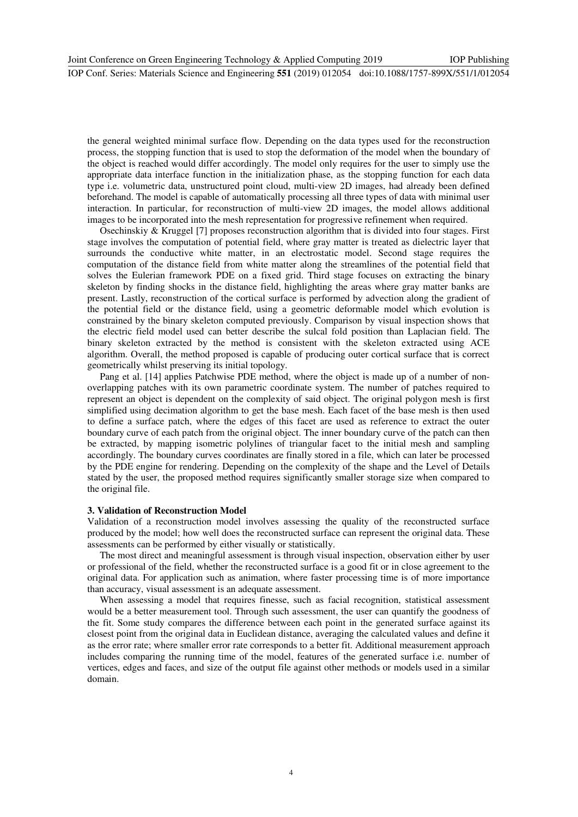the general weighted minimal surface flow. Depending on the data types used for the reconstruction process, the stopping function that is used to stop the deformation of the model when the boundary of the object is reached would differ accordingly. The model only requires for the user to simply use the appropriate data interface function in the initialization phase, as the stopping function for each data type i.e. volumetric data, unstructured point cloud, multi-view 2D images, had already been defined beforehand. The model is capable of automatically processing all three types of data with minimal user interaction. In particular, for reconstruction of multi-view 2D images, the model allows additional images to be incorporated into the mesh representation for progressive refinement when required.

Osechinskiy & Kruggel [7] proposes reconstruction algorithm that is divided into four stages. First stage involves the computation of potential field, where gray matter is treated as dielectric layer that surrounds the conductive white matter, in an electrostatic model. Second stage requires the computation of the distance field from white matter along the streamlines of the potential field that solves the Eulerian framework PDE on a fixed grid. Third stage focuses on extracting the binary skeleton by finding shocks in the distance field, highlighting the areas where gray matter banks are present. Lastly, reconstruction of the cortical surface is performed by advection along the gradient of the potential field or the distance field, using a geometric deformable model which evolution is constrained by the binary skeleton computed previously. Comparison by visual inspection shows that the electric field model used can better describe the sulcal fold position than Laplacian field. The binary skeleton extracted by the method is consistent with the skeleton extracted using ACE algorithm. Overall, the method proposed is capable of producing outer cortical surface that is correct geometrically whilst preserving its initial topology.

Pang et al. [14] applies Patchwise PDE method, where the object is made up of a number of nonoverlapping patches with its own parametric coordinate system. The number of patches required to represent an object is dependent on the complexity of said object. The original polygon mesh is first simplified using decimation algorithm to get the base mesh. Each facet of the base mesh is then used to define a surface patch, where the edges of this facet are used as reference to extract the outer boundary curve of each patch from the original object. The inner boundary curve of the patch can then be extracted, by mapping isometric polylines of triangular facet to the initial mesh and sampling accordingly. The boundary curves coordinates are finally stored in a file, which can later be processed by the PDE engine for rendering. Depending on the complexity of the shape and the Level of Details stated by the user, the proposed method requires significantly smaller storage size when compared to the original file.

#### **3. Validation of Reconstruction Model**

Validation of a reconstruction model involves assessing the quality of the reconstructed surface produced by the model; how well does the reconstructed surface can represent the original data. These assessments can be performed by either visually or statistically.

The most direct and meaningful assessment is through visual inspection, observation either by user or professional of the field, whether the reconstructed surface is a good fit or in close agreement to the original data. For application such as animation, where faster processing time is of more importance than accuracy, visual assessment is an adequate assessment.

When assessing a model that requires finesse, such as facial recognition, statistical assessment would be a better measurement tool. Through such assessment, the user can quantify the goodness of the fit. Some study compares the difference between each point in the generated surface against its closest point from the original data in Euclidean distance, averaging the calculated values and define it as the error rate; where smaller error rate corresponds to a better fit. Additional measurement approach includes comparing the running time of the model, features of the generated surface i.e. number of vertices, edges and faces, and size of the output file against other methods or models used in a similar domain.